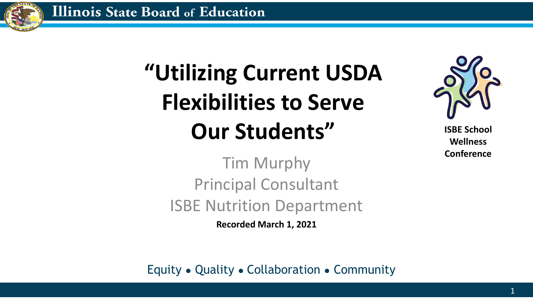

# **"Utilizing Current USDA Flexibilities to Serve Our Students"**



**ISBE School Wellness Conference**

Tim Murphy Principal Consultant ISBE Nutrition Department

**Recorded March 1, 2021**

Equity ● Quality ● Collaboration ● Community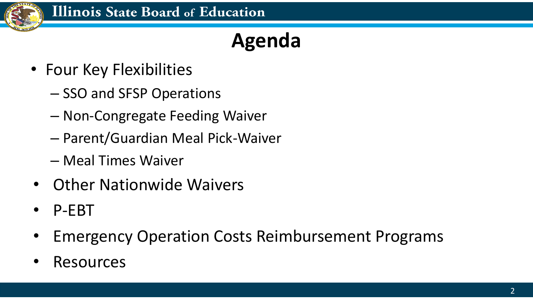

### **Agenda**

- Four Key Flexibilities
	- SSO and SFSP Operations
	- Non-Congregate Feeding Waiver
	- Parent/Guardian Meal Pick-Waiver
	- Meal Times Waiver
- Other Nationwide Waivers
- P-EBT
- Emergency Operation Costs Reimbursement Programs
- **Resources**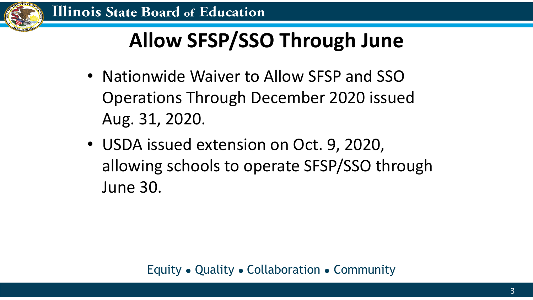

# **Allow SFSP/SSO Through June**

- Nationwide Waiver to Allow SFSP and SSO Operations Through December 2020 issued Aug. 31, 2020.
- USDA issued extension on Oct. 9, 2020, allowing schools to operate SFSP/SSO through June 30.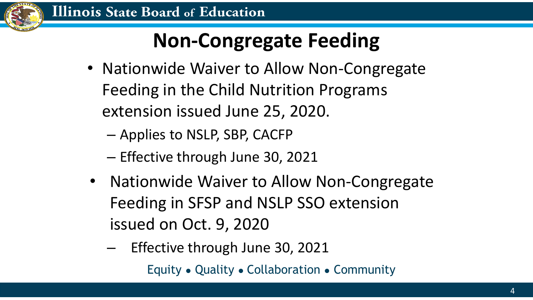

# **Non-Congregate Feeding**

- Nationwide Waiver to Allow Non-Congregate Feeding in the Child Nutrition Programs extension issued June 25, 2020.
	- Applies to NSLP, SBP, CACFP
	- Effective through June 30, 2021
- Nationwide Waiver to Allow Non-Congregate Feeding in SFSP and NSLP SSO extension issued on Oct. 9, 2020
	- Equity Quality Collaboration Community – Effective through June 30, 2021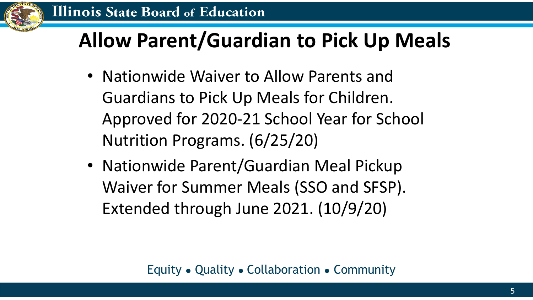

#### **Allow Parent/Guardian to Pick Up Meals**

- Nationwide Waiver to Allow Parents and Guardians to Pick Up Meals for Children. Approved for 2020-21 School Year for School Nutrition Programs. (6/25/20)
- Nationwide Parent/Guardian Meal Pickup Waiver for Summer Meals (SSO and SFSP). Extended through June 2021. (10/9/20)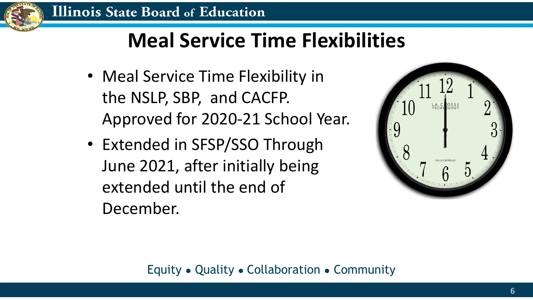

#### **Meal Service Time Flexibilities**

- Meal Service Time Flexibility in the NSLP, SBP, and CACFP. Approved for 2020-21 School Year.
- Extended in SFSP/SSO Through June 2021, after initially being extended until the end of December.



#### Equity ● Quality ● Collaboration ● Community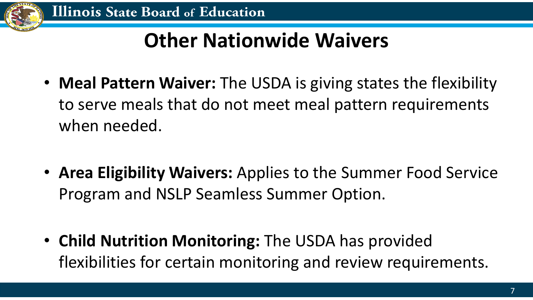

### **Other Nationwide Waivers**

- **Meal Pattern Waiver:** The USDA is giving states the flexibility to serve meals that do not meet meal pattern requirements when needed.
- **Area Eligibility Waivers:** Applies to the Summer Food Service Program and NSLP Seamless Summer Option.
- **Child Nutrition Monitoring:** The USDA has provided flexibilities for certain monitoring and review requirements.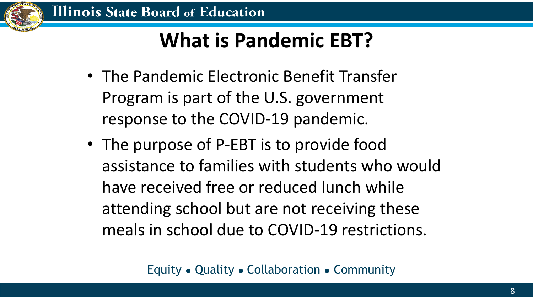

#### **What is Pandemic EBT?**

- The Pandemic Electronic Benefit Transfer Program is part of the U.S. government response to the COVID-19 pandemic.
- The purpose of P-EBT is to provide food assistance to families with students who would have received free or reduced lunch while attending school but are not receiving these meals in school due to COVID-19 restrictions.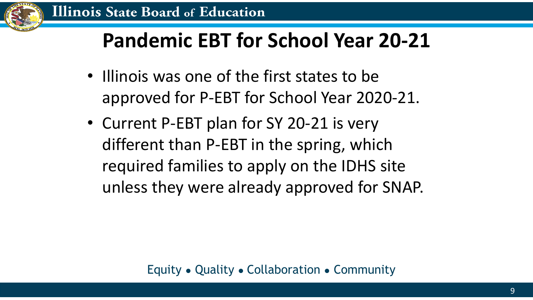

#### **Pandemic EBT for School Year 20-21**

- Illinois was one of the first states to be approved for P-EBT for School Year 2020-21.
- Current P-EBT plan for SY 20-21 is very different than P-EBT in the spring, which required families to apply on the IDHS site unless they were already approved for SNAP.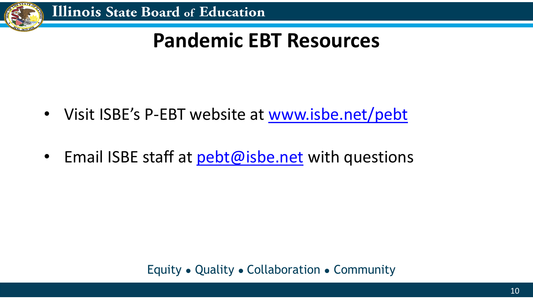

#### **Pandemic EBT Resources**

- Visit ISBE's P-EBT website at [www.isbe.net/pebt](http://www.isbe.net/pebt)
- Email ISBE staff at [pebt@isbe.net](mailto:pebt@isbe.net) with questions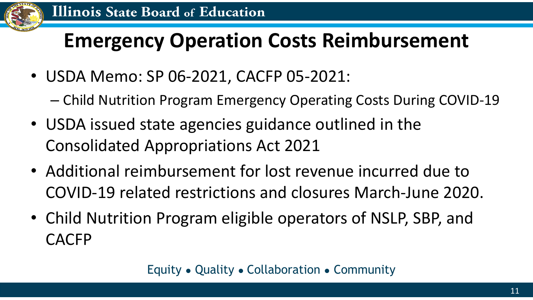

#### **Emergency Operation Costs Reimbursement**

- USDA Memo: SP 06-2021, CACFP 05-2021:
	- Child Nutrition Program Emergency Operating Costs During COVID-19
- USDA issued state agencies guidance outlined in the Consolidated Appropriations Act 2021
- Additional reimbursement for lost revenue incurred due to COVID-19 related restrictions and closures March-June 2020.
- Child Nutrition Program eligible operators of NSLP, SBP, and CACFP

Equity ● Quality ● Collaboration ● Community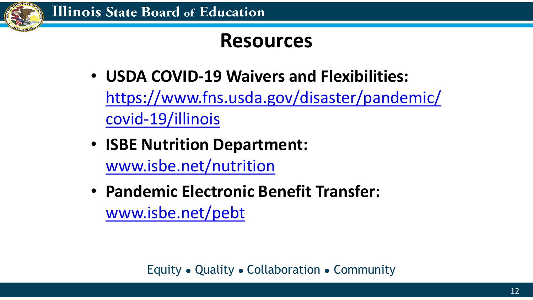

#### **Resources**

- **USDA COVID-19 Waivers and Flexibilities:**  [https://www.fns.usda.gov/disaster/pandemic/](https://www.fns.usda.gov/disaster/pandemic/covid-19/illinois) covid-19/illinois
- **ISBE Nutrition Department:** [www.isbe.net/nutrition](http://www.isbe.net/nutrition)
- **Pandemic Electronic Benefit Transfer:**  [www.isbe.net/pebt](http://www.isbe.net/pebt)